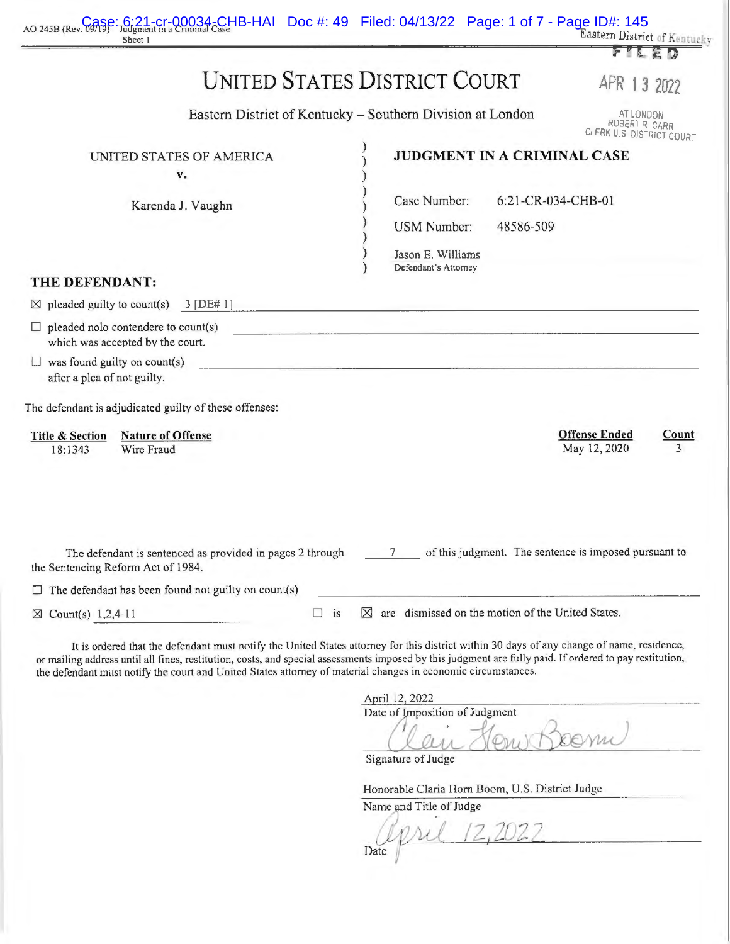|                                                                    | AO 245B (Rev. Case: 6:21-cr-00034-CHB-HAI Doc #: 49 Filed: 04/13/22 Page: 1 of 7 - Page ID#: 145<br>Sheet 1                                            |           |                                                                   |                    | Eastern District of Kentucky                            |            |
|--------------------------------------------------------------------|--------------------------------------------------------------------------------------------------------------------------------------------------------|-----------|-------------------------------------------------------------------|--------------------|---------------------------------------------------------|------------|
|                                                                    |                                                                                                                                                        |           |                                                                   |                    |                                                         | FILED      |
|                                                                    |                                                                                                                                                        |           | <b>UNITED STATES DISTRICT COURT</b>                               |                    | APR 13 2022                                             |            |
|                                                                    |                                                                                                                                                        |           | Eastern District of Kentucky – Southern Division at London        |                    | AT LONDON<br>ROBERT R CARR<br>CLERK U.S. DISTRICT COURT |            |
|                                                                    | UNITED STATES OF AMERICA<br>v.                                                                                                                         |           |                                                                   |                    | JUDGMENT IN A CRIMINAL CASE                             |            |
|                                                                    | Karenda J. Vaughn                                                                                                                                      |           | Case Number:                                                      | 6:21-CR-034-CHB-01 |                                                         |            |
|                                                                    |                                                                                                                                                        |           | <b>USM Number:</b>                                                | 48586-509          |                                                         |            |
|                                                                    |                                                                                                                                                        |           | Jason E. Williams                                                 |                    |                                                         |            |
| THE DEFENDANT:                                                     |                                                                                                                                                        |           | Defendant's Attorney                                              |                    |                                                         |            |
|                                                                    | $\boxtimes$ pleaded guilty to count(s) 3 [DE# 1]                                                                                                       |           |                                                                   |                    |                                                         |            |
|                                                                    | pleaded nolo contendere to count(s)<br>which was accepted by the court.                                                                                |           | <u> 1989 - Johann Marie Barn, mars an Amerikaansk politiker (</u> |                    |                                                         |            |
| $\Box$ was found guilty on count(s)<br>after a plea of not guilty. |                                                                                                                                                        |           |                                                                   |                    |                                                         |            |
|                                                                    | The defendant is adjudicated guilty of these offenses:                                                                                                 |           |                                                                   |                    |                                                         |            |
| <b>Title &amp; Section</b><br>18:1343                              | <b>Nature of Offense</b><br>Wire Fraud                                                                                                                 |           |                                                                   |                    | <b>Offense Ended</b><br>May 12, 2020                    | Count<br>3 |
|                                                                    | The defendant is sentenced as provided in pages 2 through<br>the Sentencing Reform Act of 1984.<br>The defendant has been found not guilty on count(s) |           |                                                                   |                    | of this judgment. The sentence is imposed pursuant to   |            |
|                                                                    |                                                                                                                                                        |           | $\boxtimes$ are dismissed on the motion of the United States.     |                    |                                                         |            |
| Count(s) $1,2,4-11$<br>$\times$                                    |                                                                                                                                                        | $\Box$ is |                                                                   |                    |                                                         |            |

or mailing address until all fines, restitution, costs, and special assessments imposed by this judgment arc fully paid. If ordered to pay restitution, the defendant must notify the court and United States attorney of material changes in economic circumstances.

April 12, 2022 Date of Imposition of Judgment<br>
Clair Henry Beerne

Signature of Judge

Honorable Claria Hom Boom, U.S. District Judge

Name and Title of Judge<br>
Date (2,2022

Date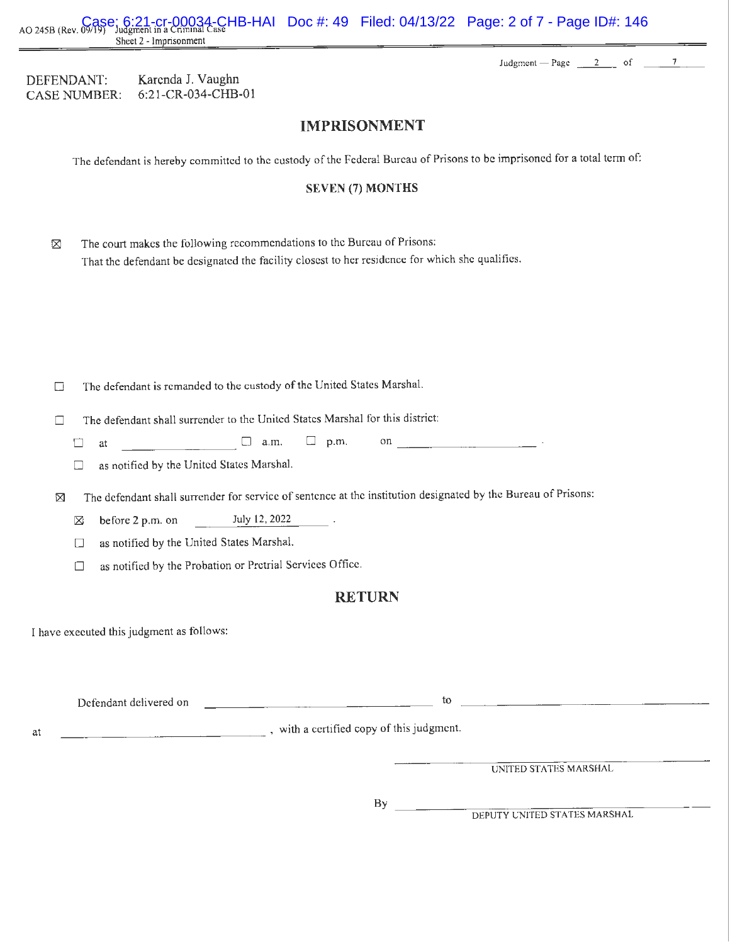AO 245B (Rev. 09/19) Judgment in a Criminal Case **HB-HAI** Doc #: 49 Filed: 04/13/22 Page: 2 of 7 - Page ID#: 146<br>AO 245B (Rev. 09/19) Judgment in a Criminal Case Sheet 2 - Imprisonment

Judgment  $-$  Page  $\frac{2}{2}$  of  $\frac{7}{2}$ 

| DEFENDANT:   | Karenda J. Vaughn     |
|--------------|-----------------------|
| CASE NUMBER: | $6:21$ -CR-034-CHB-01 |

### **IMPRISONMENT**

The defendant is hereby committed to the custody of the Federal Bureau of Prisons to be imprisoned for a total term of:

### **SEVEN** (7) **MONTHS**

| ⊠ | The court makes the following recommendations to the Bureau of Prisons:                         |
|---|-------------------------------------------------------------------------------------------------|
|   | That the defendant be designated the facility closest to her residence for which she qualifies. |

- $\square$  The defendant is remanded to the custody of the United States Marshal.
- $\Box$  The defendant shall surrender to the United States Marshal for this district:
	- $\Box$  at  $\Box$  a.m.  $\Box$  p.m. on  $\Box$ <br>as notified by the United States Marshal.
	-
- $\boxtimes$  The defendant shall surrender for service of sentence at the institution designated by the Bureau of Prisons:
	- $\boxtimes$  before 2 p.m. on July 12, 2022
	- $\Box$  as notified by the United States Marshal.
	- $\Box$  as notified by the Probation or Pretrial Services Office.

### **RETURN**

I have executed this judgment as follows:

|    | Defendant delivered on | tο                                      |
|----|------------------------|-----------------------------------------|
| at |                        | with a certified copy of this judgment. |
|    |                        | UNITED STATES MARSHAL                   |
|    |                        |                                         |

By

DEPUTY UNITED STATES MARSHAL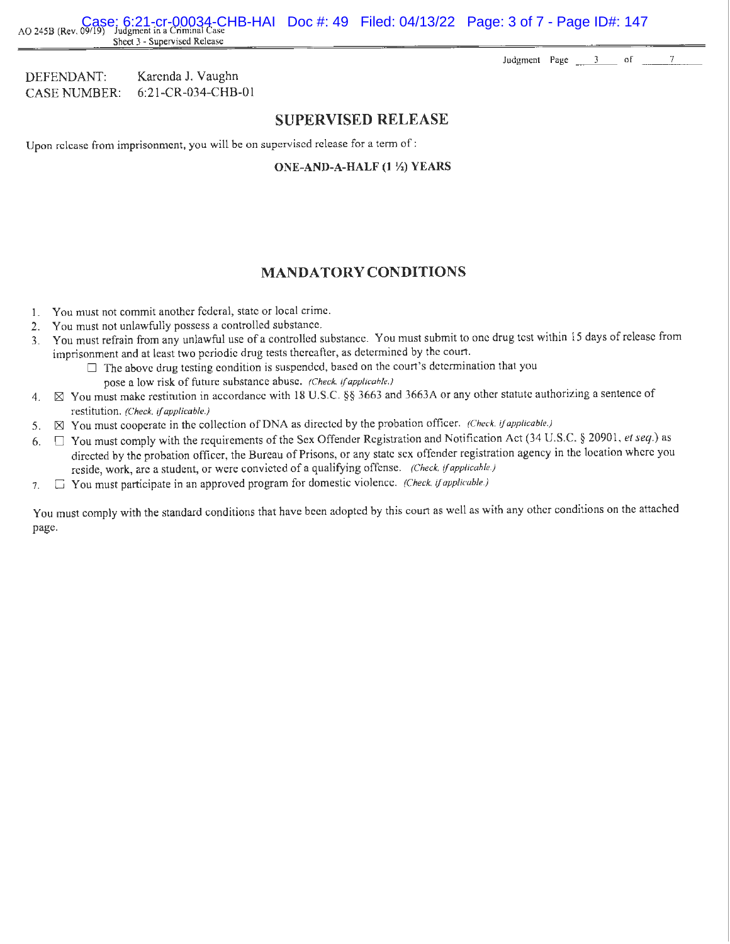AO 245B (Rev. 09/19) Judgment in a Criminal Case<br>AO 245B (Rev. 09/19) Judgment in a Criminal Case Sheet 3 - Supervised Release

Judgment Page  $\frac{3}{2}$  of  $\frac{7}{2}$ 

DEFENDANT: Karenda J. Vaughn CASE NUMBER: 6:21-CR-034-CHB-01

### **SUPERVISED RELEASE**

Upon release from imprisonment, you will be on supervised release for a term of :

**ONE-AND-A-HALF (1 ½) YEARS** 

### **MANDA TORY CONDITIONS**

- I. You must not commit another federal, state or local crime.
- 2. You must not unlawfully possess a controlled substance.
- 3. You must refrain from any unlawful use of a controlled substance. You must submit to one drug test within 15 days of release from imprisonment and at least two periodic drug tests thereafter, as determined by the court.
	- $\Box$  The above drug testing condition is suspended, based on the court's determination that you pose a low risk of future substance abuse. *(Check,* if *applicable.)*
- 4.  $\boxtimes$  You must make restitution in accordance with 18 U.S.C. §§ 3663 and 3663A or any other statute authorizing a sentence of restitution. *(Check,* if *applicable.)*
- 5.  $\boxtimes$  You must cooperate in the collection of DNA as directed by the probation officer. *(Check, if applicable.)*
- 6. D You must comply with the requirements of the Sex Offender Registration and Notification Act (34 U.S.C. § 2090 I, *et seq.)* as directed by the probation officer, the Bureau of Prisons, or any state sex offender registration agency in the location where you reside, work, are a student, or were convicted of a qualifying offense. *(Check,* if *applicable.)*
- 7. D You must participate in an approved program for domestic violence. *(Check,* if *applicable.)*

You must comply with the standard conditions that have been adopted by this court as well as with any other conditions on the attached page.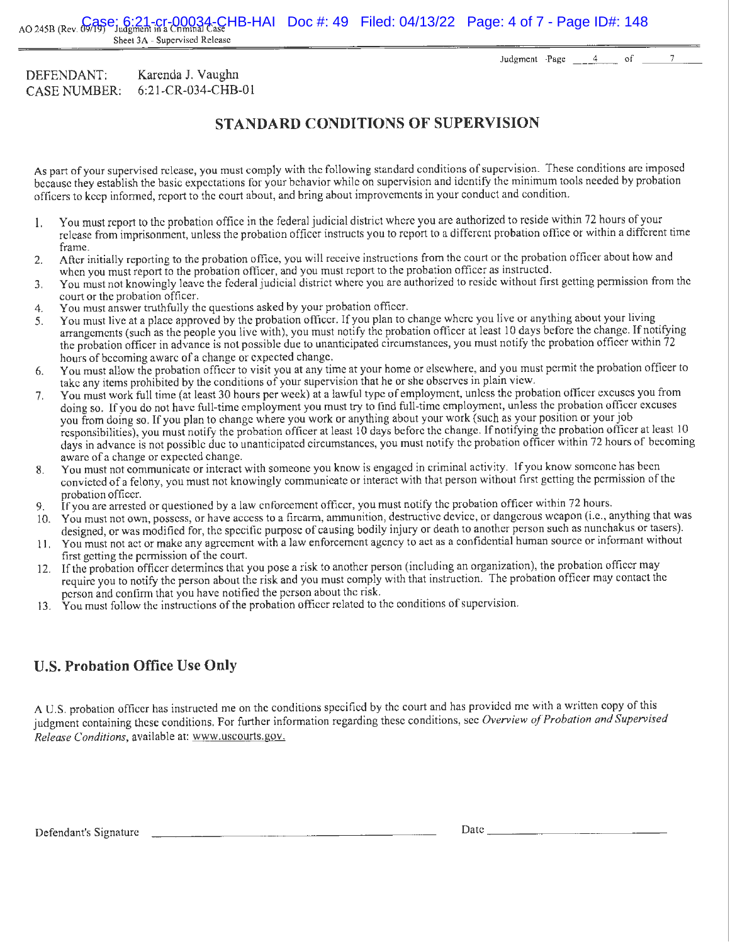Sheet 3A - Supervised Release

Judgment- Page 4 of 7

#### DEFENDANT: CASE NUMBER: Karenda J. Vaughn 6:21-CR-034-CHB-01

## **STANDARD CONDITIONS OF SUPERVISION**

As part of your supervised release, you must comply with the following standard conditions of supervision. These conditions are imposed because they establish the basic expectations for your behavior while on supervision and identify the minimum tools needed by probation officers to keep informed, report to the court about, and bring about improvements in your conduct and condition.

- I. You must report to the probation office in the federal judicial district where you are authorized to reside within 72 hours of your release from imprisonment, unless the probation officer instructs you to report to a different probation office or within a different time frame.
- 2. After initially reporting to the probation office, you will receive instructions from the court or the probation officer about how and when you must report to the probation officer, and you must report to the probation officer as instructed.
- 3. You must not knowingly leave the federal judicial district where you are authorized to reside without first getting permission from the court or the probation officer.
- 4. You must answer truthfully the questions asked by your probation officer.
- 5. You must live at a place approved by the probation officer. If you plan to change where you live or anything about your living arrangements (such as the people you live with), you must notify the probation officer at least 10 days before the change. If notifying the probation officer in advance is not possible due to unanticipated circumstances, you must notify the probation officer within 72 hours of becoming aware of a change or expected change.
- 6. You must allow the probation officer to visit you at any time at your home or elsewhere, and you must permit the probation officer to take any items prohibited by the conditions of your supervision that he or she observes in plain view.
- 7. You must work full time (at least 30 hours per week) at a lawful type of employment, unless the probation officer excuses you from doing so. If you do not have full-time employment you must try to find full-time employment, unless the probation officer excuses you from doing so. If you plan to change where you work or anything about your work (such as your position or your job responsibilities), you must notify the probation officer at least IO days before the change. If notifying the probation officer at least I 0 days in advance is not possible due to unanticipated circumstances, you must notify the probation officer within 72 hours of becoming aware of a change or expected change.
- 8. You must not communicate or interact with someone you know is engaged in criminal activity. If you know someone has been convicted ofa felony, you must not knowingly communicate or interact with that person without first getting the permission of the probation officer.
- 9. If you are arrested or questioned by a law enforcement officer, you must notify the probation officer within 72 hours.
- 10. You must not own, possess, or have access to a firearm, ammunition, destructive device, or dangerous weapon (i.e., anything that was designed, or was modified for, the specific purpose of causing bodily injury or death to another person such as nunchakus or tasers).
- 11. You must not act or make any agreement with a law enforcement agency to act as a confidential human source or informant without first getting the permission of the court.
- 12. If the probation officer determines that you pose a risk to another person (including an organization), the probation officer may require you to notify the person about the risk and you must comply with that instruction. The probation officer may contact the person and confirm that you have notified the person about the risk.
- 13. You must follow the instructions of the probation officer related to the conditions of supervision.

# **U.S. Probation Office Use Only**

A U.S. probation officer has instructed me on the conditions specified by the court and has provided me with a written copy of this judgment containing these conditions. For further information regarding these conditions, see *Overview of Probation and Supervised Release Conditions,* available at: www.uscourts.gov.

Defendant's Signature Date \_\_\_\_\_\_ \_\_\_\_\_\_\_ \_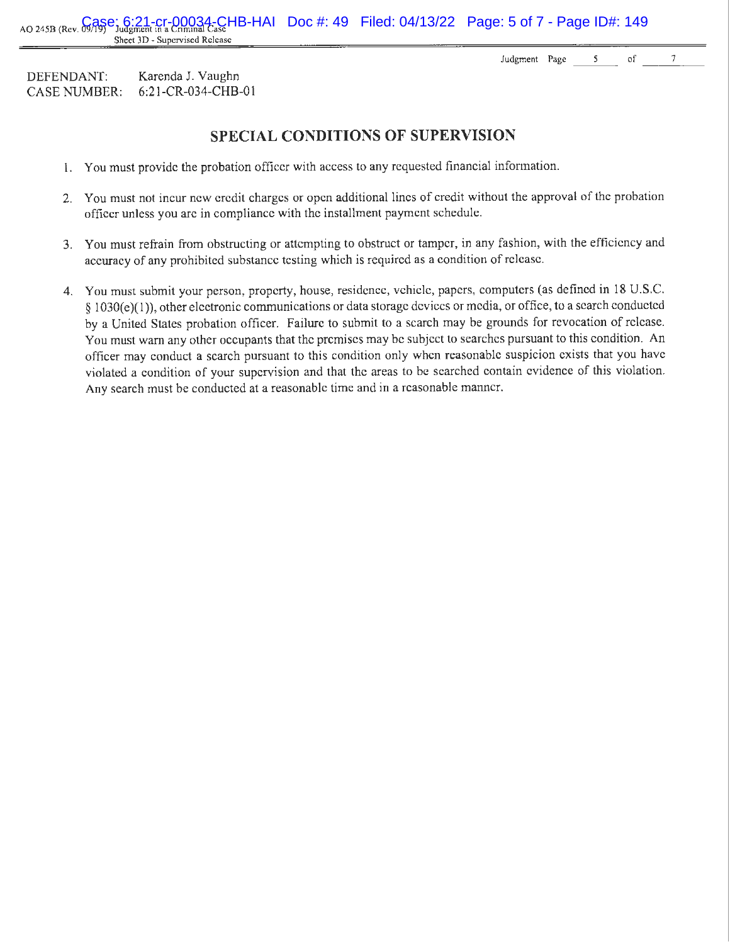Sheet 3D - Supervised Release DEFENDANT: Karenda J. Vaughn

6:2 l-CR-034-CHB-0 1

CASE NUMBER:

**SPECIAL CONDITIONS OF SUPERVISION** 

AO 245B (Rev. G/ASe: 6:21-Cr-00034-CHB-HAI Doc #: 49 Filed: 04/13/22 Page: 5 of 7 - Page ID#: 149

- I. You must provide the probation officer with access to any requested financial infonnation.
- 2. You must not incur new credit charges or open additional lines of credit without the approval of the probation officer unless you are in compliance with the installment payment schedule.
- 3. You must refrain from obstructing or attempting to obstruct or tamper, in any fashion, with the efficiency and accuracy of any prohibited substance testing which is required as a condition of release.
- 4. You must submit your person, property, house, residence, vehicle, papers, computers (as defined in 18 U.S.C. § 1030(e)(1)), other electronic communications or data storage devices or media, or office, to a search conducted by a United States probation officer. Failure to submit to a search may be grounds for revocation of release. You must warn any other occupants that the premises may be subject to searches pursuant to this condition. An officer may conduct a search pursuant to this condition only when reasonable suspicion exists that you have violated a condition of your supervision and that the areas to be searched contain evidence of this violation. Any search must be conducted at a reasonable time and in a reasonable manner.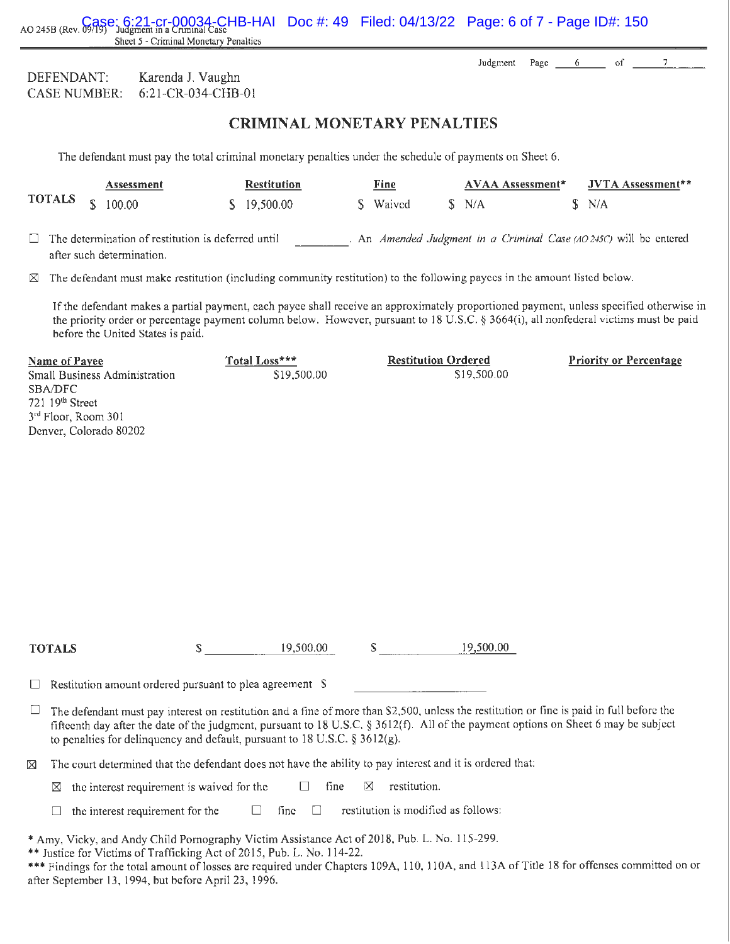AO 245B (Rev. 09/19) Judgment in a Criminal Sheet 5 - Criminal Monetary Penalties  $CHB-HAI$  Doc #: 49 Filed: 04/13/22 Page: 6 of 7 - Page ID#: 150

> Judgment Page 6:  $\circ$ f

| DEFENDANT.          | Karenda J. Vaughn     |
|---------------------|-----------------------|
| <b>CASE NUMBER:</b> | $6:21$ -CR-034-CHB-01 |

## **CRIMINAL MONET ARY PENAL TIES**

The defendant must pay the total criminal monetary penalties under the schedule of payments on Sheet 6.

| <b>TOTALS</b> $\frac{100.00}{ }$ |  | Assessment                                                                             |  | <b>Fine</b><br><b>Restitution</b> |  |          | <b>AVAA Assessment*</b> |       | JVTA Assessment**                                                  |
|----------------------------------|--|----------------------------------------------------------------------------------------|--|-----------------------------------|--|----------|-------------------------|-------|--------------------------------------------------------------------|
|                                  |  |                                                                                        |  | \$19,500.00                       |  | S Waived |                         | S N/A | S N/A                                                              |
|                                  |  | $\Box$ The determination of restitution is deferred until<br>after such determination. |  |                                   |  |          |                         |       | . An Amended Judgment in a Criminal Case (AO 245C) will be entered |

 $\boxtimes$  The defendant must make restitution (including community restitution) to the following payees in the amount listed below.

If the defendant makes a partial payment, each payee shall receive an approximately proportioned payment, unless specified otherwise in the priority order or percentage payment column below. However, pursuant to 18 U.S.C. § 3664(i), all nonfederal victims must be paid before the United States is paid.

| Name of Payee                   | Total Loss*** | <b>Restitution Ordered</b> | <b>Priority or Percentage</b> |
|---------------------------------|---------------|----------------------------|-------------------------------|
| Small Business Administration   | \$19,500.00   | \$19,500.00                |                               |
| SBA/DFC                         |               |                            |                               |
| 721.19 <sup>th</sup> Street     |               |                            |                               |
| 3 <sup>rd</sup> Floor, Room 301 |               |                            |                               |
| Denver, Colorado 80202          |               |                            |                               |
|                                 |               |                            |                               |

s \_\_\_\_\_ .c..; 19'-'-'-so=--=0-'-' .o=--=o- $S = 19.500.00$ 

 $\Box$  Restitution amount ordered pursuant to plea agreement S

**TOTALS** 

 $\Box$  The defendant must pay interest on restitution and a fine of more than \$2,500, unless the restitution or fine is paid in full before the fifteenth day after the date of the judgment, pursuant to 18 U.S.C. § 3612(f). All of the payment options on Sheet 6 may be subject to penalties for delinquency and default, pursuant to  $18 \text{ U.S.C.}$  §  $3612(g)$ .

 $\boxtimes$  The court determined that the defendant does not have the ability to pay interest and it is ordered that:

 $\boxtimes$  the interest requirement is waived for the  $\Box$  fine  $\boxtimes$  restitution.

 $\Box$  the interest requirement for the  $\Box$  fine  $\Box$  restitution is modified as follows:

\* Amy, Vicky, and Andy Child Pornography Victim Assistance Act of2018, Pub. L. No. 115-299.

\*\* Justice for Victims of Trafficking Act of 2015, Pub. L. No. 114-22.

\*\*\* Findings for the total amount of losses are required under Chapters 109A, 110, 110A, and 113A of Title 18 for offenses committed on or after September 13, 1994, but before April 23, 1996.